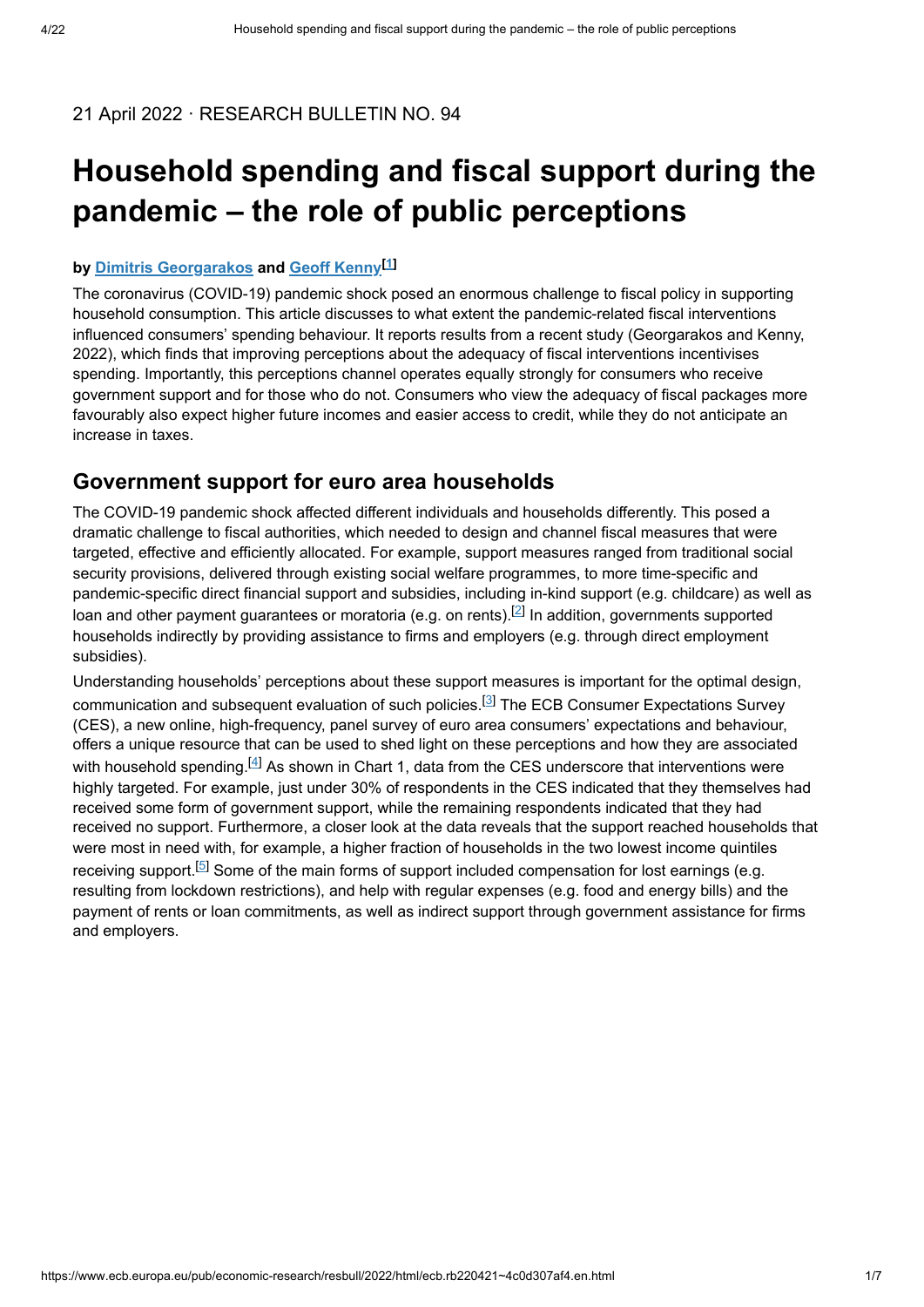### 21 April 2022 · RESEARCH BULLETIN NO. 94

# **Household spending and fiscal support during the pandemic – the role of public perceptions**

## **by<u>Dimitris Georgarakos</u> and <u>[Geoff Kenny](https://www.ecb.europa.eu/pub/research/authors/profiles/geoff-kenny.en.html)<sup>[1]</sup></u>**

The coronavirus (COVID-19) pandemic shock posed an enormous challenge to fiscal policy in supporting household consumption. This article discusses to what extent the pandemic-related fiscal interventions influenced consumers' spending behaviour. It reports results from a recent study (Georgarakos and Kenny, 2022), which finds that improving perceptions about the adequacy of fiscal interventions incentivises spending. Importantly, this perceptions channel operates equally strongly for consumers who receive government support and for those who do not. Consumers who view the adequacy of fiscal packages more favourably also expect higher future incomes and easier access to credit, while they do not anticipate an increase in taxes.

## **Government support for euro area households**

The COVID-19 pandemic shock affected different individuals and households differently. This posed a dramatic challenge to fiscal authorities, which needed to design and channel fiscal measures that were targeted, effective and efficiently allocated. For example, support measures ranged from traditional social security provisions, delivered through existing social welfare programmes, to more time-specific and pandemic-specific direct financial support and subsidies, including in-kind support (e.g. childcare) as well as loan and other payment guarantees or moratoria (e.g. on rents).<sup>[2]</sup> In addition, governments supported households indirectly by providing assistance to firms and employers (e.g. through direct employment subsidies).

Understanding households' perceptions about these support measures is important for the optimal design, communication and subsequent evaluation of such policies.<sup>[3]</sup> The ECB Consumer Expectations Survey (CES), a new online, high-frequency, panel survey of euro area consumers' expectations and behaviour, offers a unique resource that can be used to shed light on these perceptions and how they are associated with household spending. $^{[4]}$  As shown in Chart 1, data from the CES underscore that interventions were highly targeted. For example, just under 30% of respondents in the CES indicated that they themselves had received some form of government support, while the remaining respondents indicated that they had received no support. Furthermore, a closer look at the data reveals that the support reached households that were most in need with, for example, a higher fraction of households in the two lowest income quintiles receiving support.<sup>[5]</sup> Some of the main forms of support included compensation for lost earnings (e.g. resulting from lockdown restrictions), and help with regular expenses (e.g. food and energy bills) and the payment of rents or loan commitments, as well as indirect support through government assistance for firms and employers.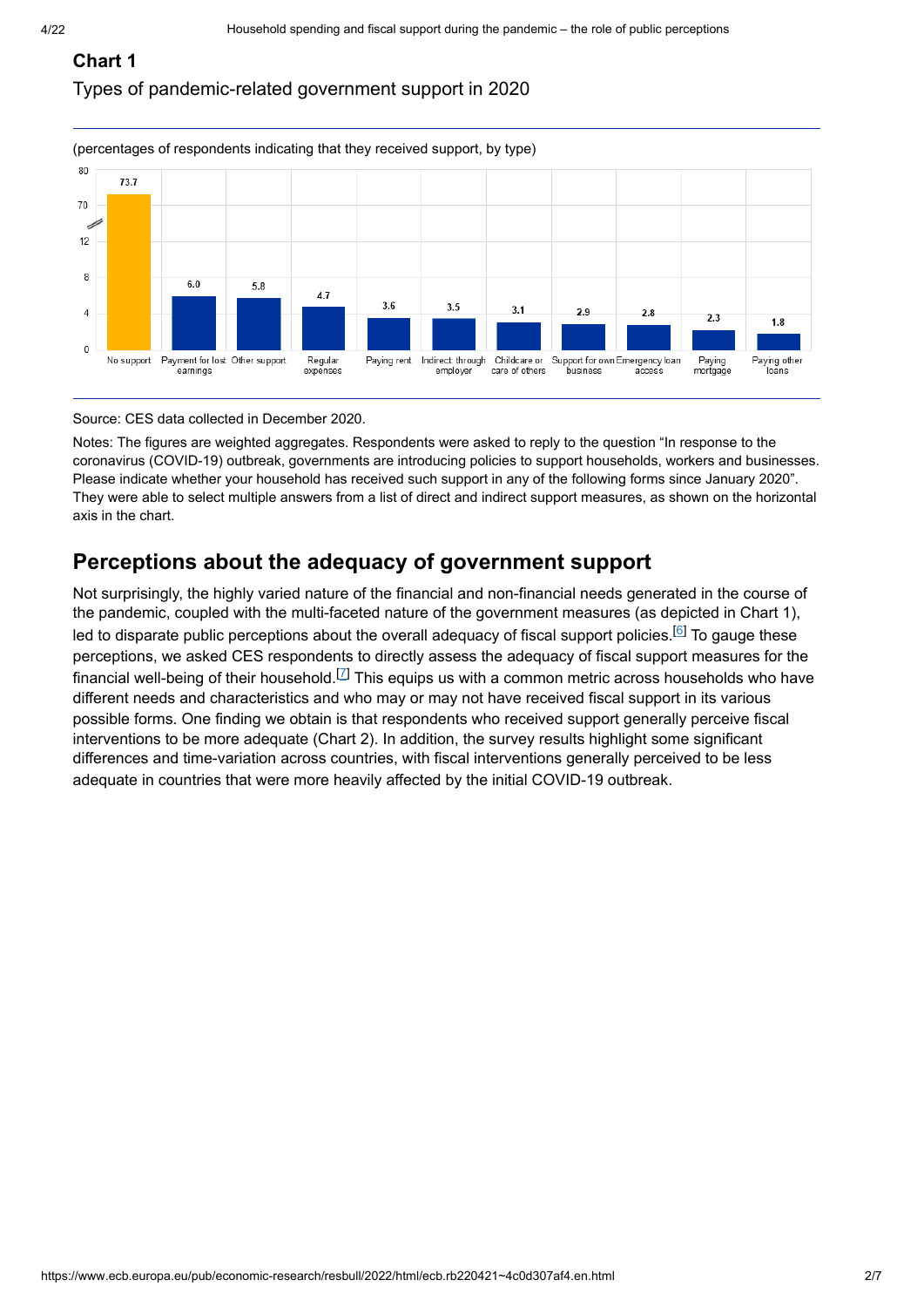# **Chart 1**

Types of pandemic-related government support in 2020



#### Source: CES data collected in December 2020.

Notes: The figures are weighted aggregates. Respondents were asked to reply to the question "In response to the coronavirus (COVID-19) outbreak, governments are introducing policies to support households, workers and businesses. Please indicate whether your household has received such support in any of the following forms since January 2020". They were able to select multiple answers from a list of direct and indirect support measures, as shown on the horizontal axis in the chart.

## **Perceptions about the adequacy of government support**

Not surprisingly, the highly varied nature of the financial and non-financial needs generated in the course of the pandemic, coupled with the multi-faceted nature of the government measures (as depicted in Chart 1), led to disparate public perceptions about the overall adequacy of fiscal support policies.<sup>[6]</sup> To gauge these perceptions, we asked CES respondents to directly assess the adequacy of fiscal support measures for the financial well-being of their household.<sup>[Z]</sup> This equips us with a common metric across households who have different needs and characteristics and who may or may not have received fiscal support in its various possible forms. One finding we obtain is that respondents who received support generally perceive fiscal interventions to be more adequate (Chart 2). In addition, the survey results highlight some significant differences and time-variation across countries, with fiscal interventions generally perceived to be less adequate in countries that were more heavily affected by the initial COVID-19 outbreak.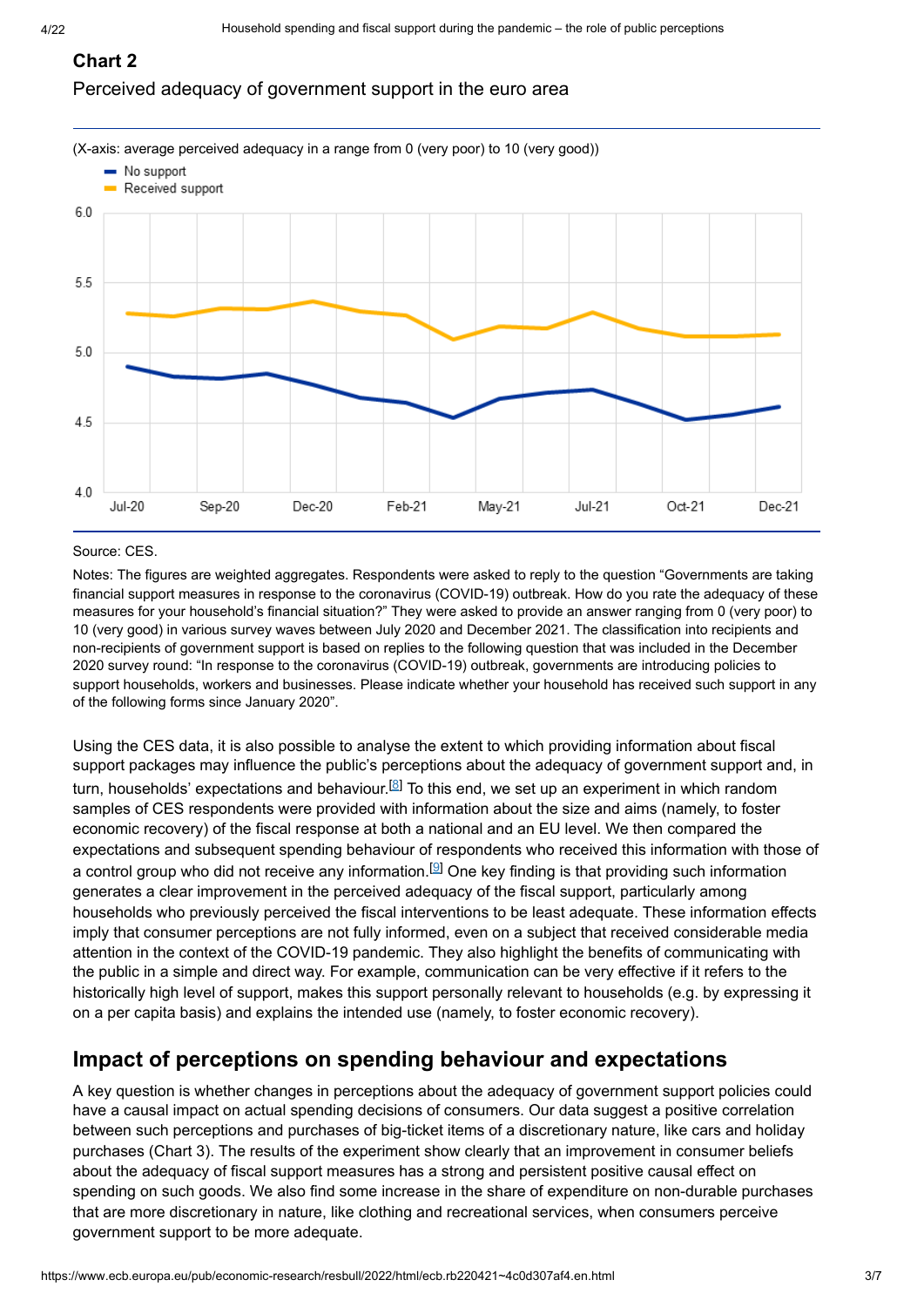#### **Chart 2**

#### Perceived adequacy of government support in the euro area



#### Source: CES.

Notes: The figures are weighted aggregates. Respondents were asked to reply to the question "Governments are taking financial support measures in response to the coronavirus (COVID-19) outbreak. How do you rate the adequacy of these measures for your household's financial situation?" They were asked to provide an answer ranging from 0 (very poor) to 10 (very good) in various survey waves between July 2020 and December 2021. The classification into recipients and non-recipients of government support is based on replies to the following question that was included in the December 2020 survey round: "In response to the coronavirus (COVID-19) outbreak, governments are introducing policies to support households, workers and businesses. Please indicate whether your household has received such support in any of the following forms since January 2020".

Using the CES data, it is also possible to analyse the extent to which providing information about fiscal support packages may influence the public's perceptions about the adequacy of government support and, in turn, households' expectations and behaviour. $^{\boxtimes}$  To this end, we set up an experiment in which random samples of CES respondents were provided with information about the size and aims (namely, to foster economic recovery) of the fiscal response at both a national and an EU level. We then compared the expectations and subsequent spending behaviour of respondents who received this information with those of a control group who did not receive any information.<sup>[9]</sup> One key finding is that providing such information generates a clear improvement in the perceived adequacy of the fiscal support, particularly among households who previously perceived the fiscal interventions to be least adequate. These information effects imply that consumer perceptions are not fully informed, even on a subject that received considerable media attention in the context of the COVID-19 pandemic. They also highlight the benefits of communicating with the public in a simple and direct way. For example, communication can be very effective if it refers to the historically high level of support, makes this support personally relevant to households (e.g. by expressing it on a per capita basis) and explains the intended use (namely, to foster economic recovery).

## **Impact of perceptions on spending behaviour and expectations**

A key question is whether changes in perceptions about the adequacy of government support policies could have a causal impact on actual spending decisions of consumers. Our data suggest a positive correlation between such perceptions and purchases of big-ticket items of a discretionary nature, like cars and holiday purchases (Chart 3). The results of the experiment show clearly that an improvement in consumer beliefs about the adequacy of fiscal support measures has a strong and persistent positive causal effect on spending on such goods. We also find some increase in the share of expenditure on non-durable purchases that are more discretionary in nature, like clothing and recreational services, when consumers perceive government support to be more adequate.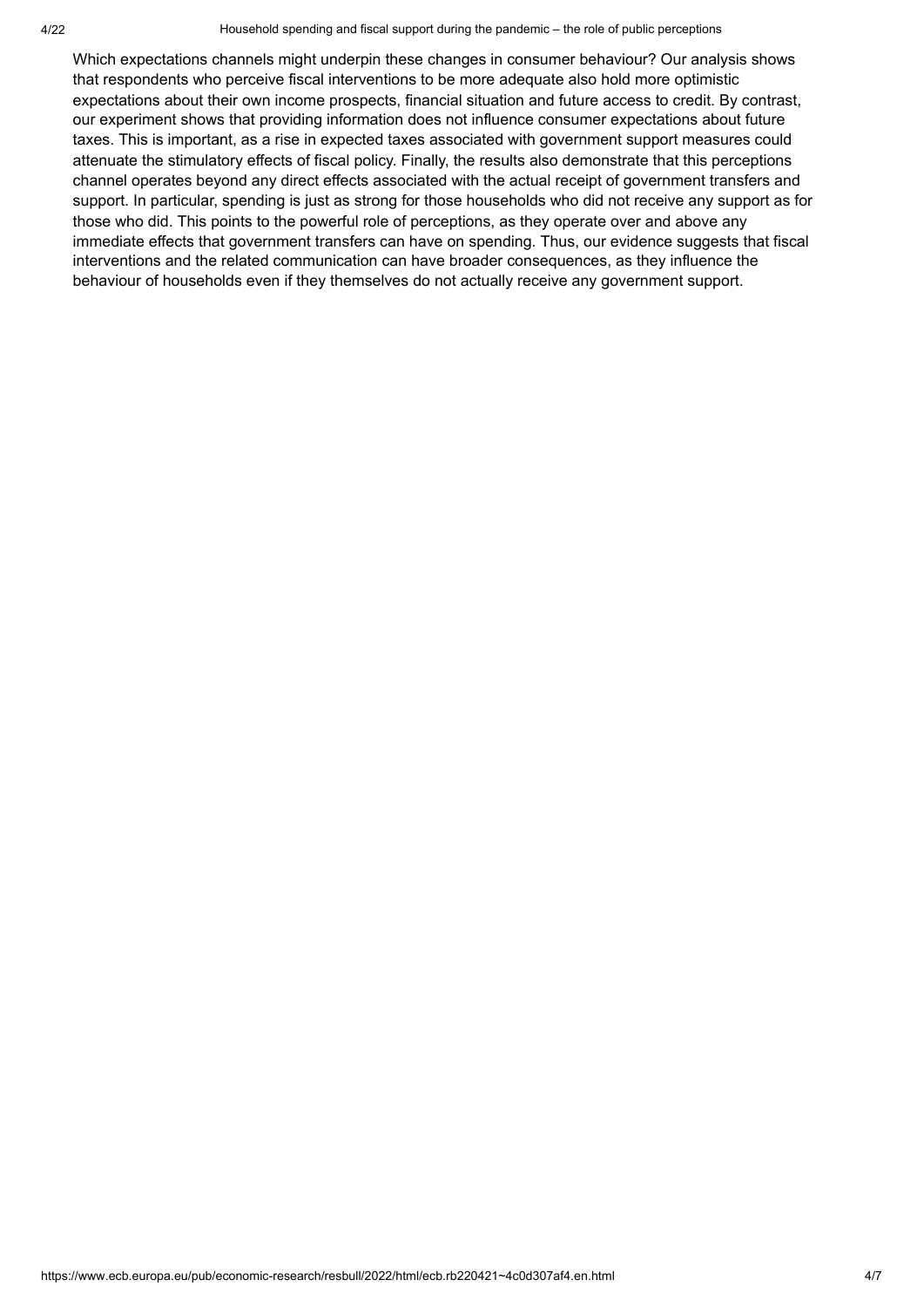#### 4/22 Household spending and fiscal support during the pandemic – the role of public perceptions

Which expectations channels might underpin these changes in consumer behaviour? Our analysis shows that respondents who perceive fiscal interventions to be more adequate also hold more optimistic expectations about their own income prospects, financial situation and future access to credit. By contrast, our experiment shows that providing information does not influence consumer expectations about future taxes. This is important, as a rise in expected taxes associated with government support measures could attenuate the stimulatory effects of fiscal policy. Finally, the results also demonstrate that this perceptions channel operates beyond any direct effects associated with the actual receipt of government transfers and support. In particular, spending is just as strong for those households who did not receive any support as for those who did. This points to the powerful role of perceptions, as they operate over and above any immediate effects that government transfers can have on spending. Thus, our evidence suggests that fiscal interventions and the related communication can have broader consequences, as they influence the behaviour of households even if they themselves do not actually receive any government support.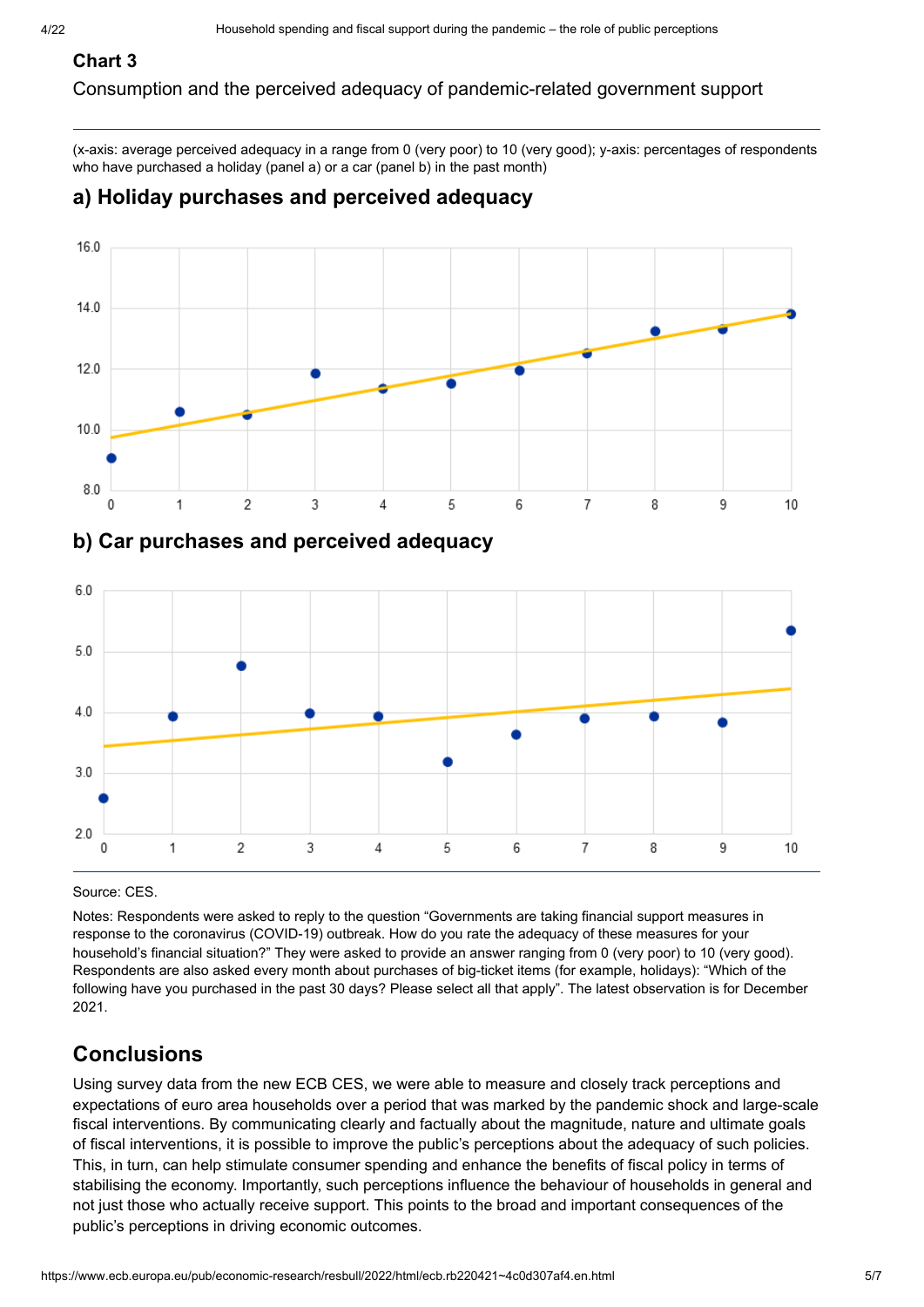# **Chart 3**

Consumption and the perceived adequacy of pandemic-related government support

(x-axis: average perceived adequacy in a range from 0 (very poor) to 10 (very good); y-axis: percentages of respondents who have purchased a holiday (panel a) or a car (panel b) in the past month)

# **a) Holiday purchases and perceived adequacy**



Source: CES.

Notes: Respondents were asked to reply to the question "Governments are taking financial support measures in response to the coronavirus (COVID-19) outbreak. How do you rate the adequacy of these measures for your household's financial situation?" They were asked to provide an answer ranging from 0 (very poor) to 10 (very good). Respondents are also asked every month about purchases of big-ticket items (for example, holidays): "Which of the following have you purchased in the past 30 days? Please select all that apply". The latest observation is for December 2021.

# **Conclusions**

Using survey data from the new ECB CES, we were able to measure and closely track perceptions and expectations of euro area households over a period that was marked by the pandemic shock and large-scale fiscal interventions. By communicating clearly and factually about the magnitude, nature and ultimate goals of fiscal interventions, it is possible to improve the public's perceptions about the adequacy of such policies. This, in turn, can help stimulate consumer spending and enhance the benefits of fiscal policy in terms of stabilising the economy. Importantly, such perceptions influence the behaviour of households in general and not just those who actually receive support. This points to the broad and important consequences of the public's perceptions in driving economic outcomes.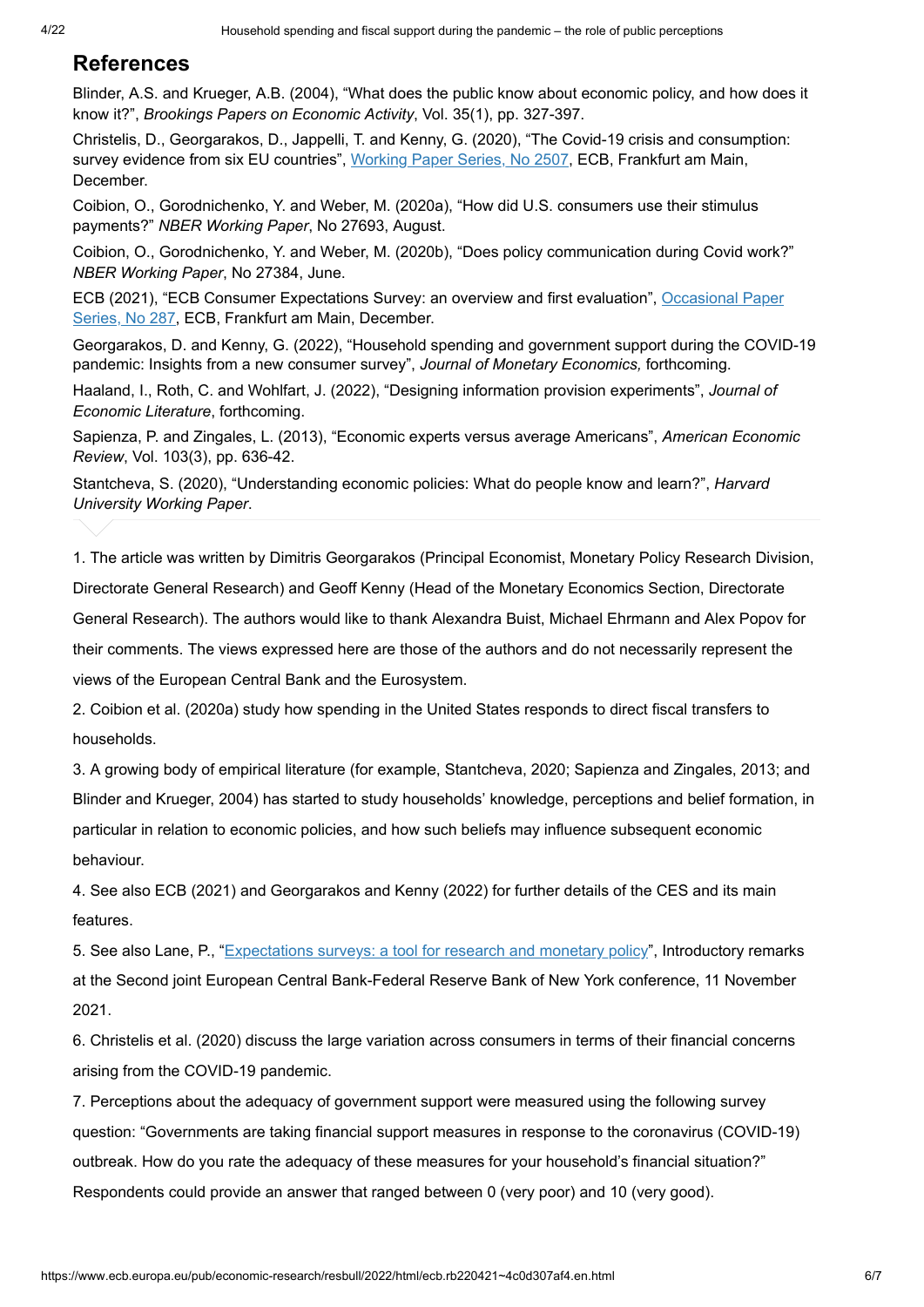### **References**

Blinder, A.S. and Krueger, A.B. (2004), "What does the public know about economic policy, and how does it know it?", *Brookings Papers on Economic Activity*, Vol. 35(1), pp. 327-397.

Christelis, D., Georgarakos, D., Jappelli, T. and Kenny, G. (2020), "The Covid-19 crisis and consumption: survey evidence from six EU countries"[,](https://www.ecb.europa.eu/pub/pdf/scpwps/ecb.wp2507~1a6ed7205b.en.pdf?c43ffcfed6d09bbfe041906cd3c7f123) <u>Working Paper Series, No 2507,</u> ECB, Frankfurt am Main, December.

Coibion, O., Gorodnichenko, Y. and Weber, M. (2020a), "How did U.S. consumers use their stimulus payments?" *NBER Working Paper*, No 27693, August.

Coibion, O., Gorodnichenko, Y. and Weber, M. (2020b), "Does policy communication during Covid work?" *NBER Working Paper*, No 27384, June.

[ECB \(2021\), "ECB Consumer Expectations Survey: an overview and first evaluation",](https://www.ecb.europa.eu/pub/pdf/scpops/ecb.op287~ea7eebc23f.en.pdf?27bb674c6dcc5ae7f7a2536c4657aa93) <u>Occasional Paper</u> Series, No 287, ECB, Frankfurt am Main, December.

Georgarakos, D. and Kenny, G. (2022), "Household spending and government support during the COVID-19 pandemic: Insights from a new consumer survey", *Journal of Monetary Economics,* forthcoming.

Haaland, I., Roth, C. and Wohlfart, J. (2022), "Designing information provision experiments", *Journal of Economic Literature*, forthcoming.

Sapienza, P. and Zingales, L. (2013), "Economic experts versus average Americans", *American Economic Review*, Vol. 103(3), pp. 636-42.

Stantcheva, S. (2020), "Understanding economic policies: What do people know and learn?", *Harvard University Working Paper*.

1. The article was written by Dimitris Georgarakos (Principal Economist, Monetary Policy Research Division, Directorate General Research) and Geoff Kenny (Head of the Monetary Economics Section, Directorate General Research). The authors would like to thank Alexandra Buist, Michael Ehrmann and Alex Popov for their comments. The views expressed here are those of the authors and do not necessarily represent the

views of the European Central Bank and the Eurosystem.

2. Coibion et al. (2020a) study how spending in the United States responds to direct fiscal transfers to households.

3. A growing body of empirical literature (for example, Stantcheva, 2020; Sapienza and Zingales, 2013; and Blinder and Krueger, 2004) has started to study households' knowledge, perceptions and belief formation, in particular in relation to economic policies, and how such beliefs may influence subsequent economic behaviour.

4. See also ECB (2021) and Georgarakos and Kenny (2022) for further details of the CES and its main features.

5. See also Lane, P., "[Expectations surveys: a tool for research and monetary policy](https://www.ecb.europa.eu/pub/conferences/html/20211111_joint_ECB_FEDNY_conference.en.html)", Introductory remarks at the Second joint European Central Bank-Federal Reserve Bank of New York conference, 11 November 2021.

6. Christelis et al. (2020) discuss the large variation across consumers in terms of their financial concerns arising from the COVID-19 pandemic.

7. Perceptions about the adequacy of government support were measured using the following survey question: "Governments are taking financial support measures in response to the coronavirus (COVID-19) outbreak. How do you rate the adequacy of these measures for your household's financial situation?" Respondents could provide an answer that ranged between 0 (very poor) and 10 (very good).